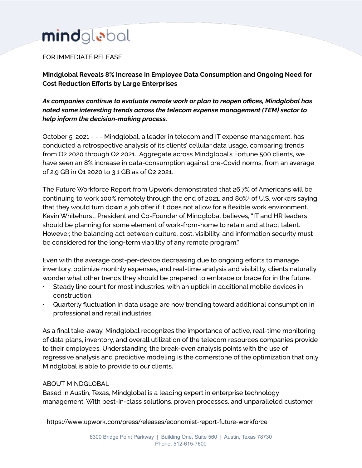## mindglebal

## FOR IMMEDIATE RELEASE

**Mindglobal Reveals 8% Increase in Employee Data Consumption and Ongoing Need for Cost Reduction Efforts by Large Enterprises** 

*As companies continue to evaluate remote work or plan to reopen offices, Mindglobal has noted some interesting trends across the telecom expense management (TEM) sector to help inform the decision-making process.* 

October 5, 2021 - - - Mindglobal, a leader in telecom and IT expense management, has conducted a retrospective analysis of its clients' cellular data usage, comparing trends from Q2 2020 through Q2 2021. Aggregate across Mindglobal's Fortune 500 clients, we have seen an 8% increase in data-consumption against pre-Covid norms, from an average of 2.9 GB in Q1 2020 to 3.1 GB as of Q2 2021.

<span id="page-0-1"></span>The Future Workforce Report from Upwork demonstrated that 26.7% of Americans will be continuing to work 100[%](#page-0-0) remotely through the end of 202[1](#page-0-0), and 80%<sup>1</sup> of U.S. workers saying that they would turn down a job offer if it does not allow for a flexible work environment. Kevin Whitehurst, President and Co-Founder of Mindglobal believes, "IT and HR leaders should be planning for some element of work-from-home to retain and attract talent. However, the balancing act between culture, cost, visibility, and information security must be considered for the long-term viability of any remote program."

Even with the average cost-per-device decreasing due to ongoing efforts to manage inventory, optimize monthly expenses, and real-time analysis and visibility, clients naturally wonder what other trends they should be prepared to embrace or brace for in the future.

- Steady line count for most industries, with an uptick in additional mobile devices in construction.
- Quarterly fluctuation in data usage are now trending toward additional consumption in professional and retail industries.

As a final take-away, Mindglobal recognizes the importance of active, real-time monitoring of data plans, inventory, and overall utilization of the telecom resources companies provide to their employees. Understanding the break-even analysis points with the use of regressive analysis and predictive modeling is the cornerstone of the optimization that only Mindglobal is able to provide to our clients.

## ABOUT MINDGLOBAL

Based in Austin, Texas, Mindglobal is a leading expert in enterprise technology management. With best-in-class solutions, proven processes, and unparalleled customer

<span id="page-0-0"></span>[<sup>1</sup>](#page-0-1) https://www.upwork.com/press/releases/economist-report-future-workforce